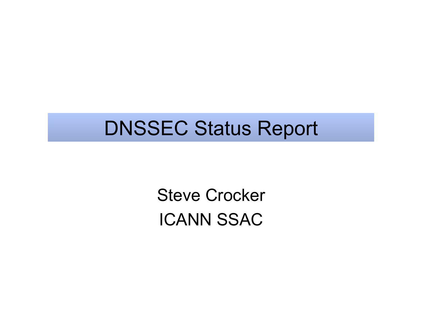#### DNSSEC Status Report

Steve Crocker ICANN SSAC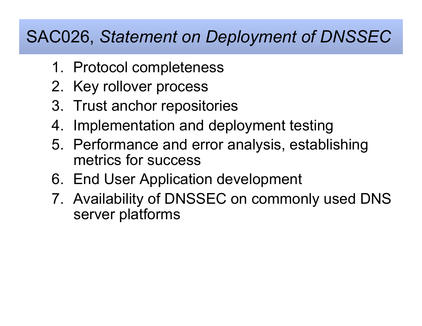#### SAC026, *Statement on Deployment of DNSSEC*

- 1. Protocol completeness
- 2. Key rollover process
- 3. Trust anchor repositories
- 4. Implementation and deployment testing
- 5. Performance and error analysis, establishing metrics for success
- 6. End User Application development
- 7. Availability of DNSSEC on commonly used DNS server platforms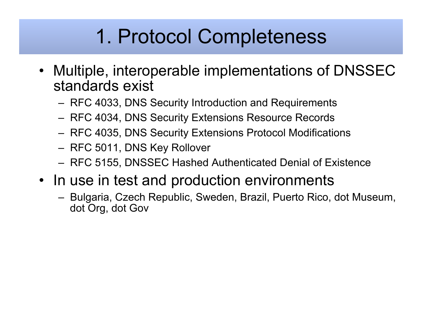## 1. Protocol Completeness

- Multiple, interoperable implementations of DNSSEC standards exist
	- RFC 4033, DNS Security Introduction and Requirements
	- RFC 4034, DNS Security Extensions Resource Records
	- RFC 4035, DNS Security Extensions Protocol Modifications
	- RFC 5011, DNS Key Rollover
	- RFC 5155, DNSSEC Hashed Authenticated Denial of Existence
- In use in test and production environments
	- Bulgaria, Czech Republic, Sweden, Brazil, Puerto Rico, dot Museum, dot Org, dot Gov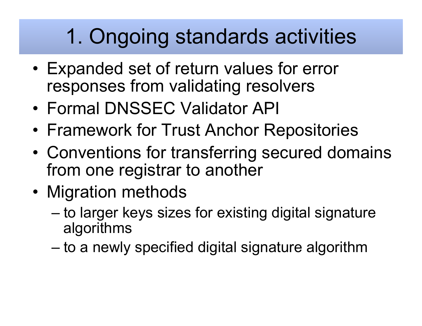# 1. Ongoing standards activities

- Expanded set of return values for error responses from validating resolvers
- Formal DNSSEC Validator API
- Framework for Trust Anchor Repositories
- Conventions for transferring secured domains from one registrar to another
- Migration methods
	- to larger keys sizes for existing digital signature algorithms
	- to a newly specified digital signature algorithm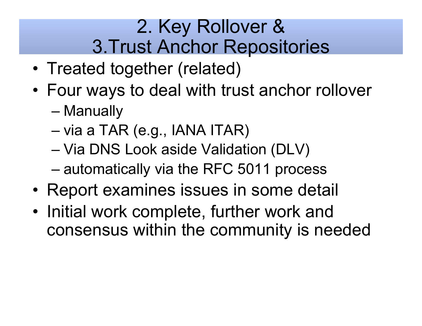#### 2. Key Rollover & 3.Trust Anchor Repositories

- Treated together (related)
- Four ways to deal with trust anchor rollover
	- Manually
	- via a TAR (e.g., IANA ITAR)
	- Via DNS Look aside Validation (DLV)
	- automatically via the RFC 5011 process
- Report examines issues in some detail
- Initial work complete, further work and consensus within the community is needed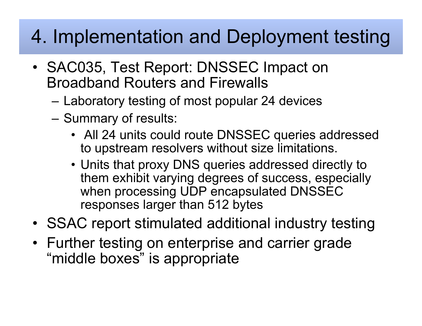## 4. Implementation and Deployment testing

- SAC035, Test Report: DNSSEC Impact on Broadband Routers and Firewalls
	- Laboratory testing of most popular 24 devices
	- Summary of results:
		- All 24 units could route DNSSEC queries addressed to upstream resolvers without size limitations.
		- Units that proxy DNS queries addressed directly to them exhibit varying degrees of success, especially when processing UDP encapsulated DNSSEC responses larger than 512 bytes
- SSAC report stimulated additional industry testing
- Further testing on enterprise and carrier grade "middle boxes" is appropriate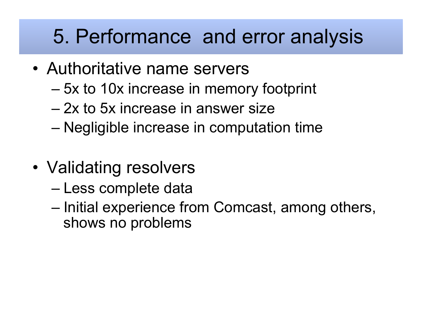## 5. Performance and error analysis

- Authoritative name servers
	- 5x to 10x increase in memory footprint
	- 2x to 5x increase in answer size
	- Negligible increase in computation time
- Validating resolvers
	- Less complete data
	- Initial experience from Comcast, among others, shows no problems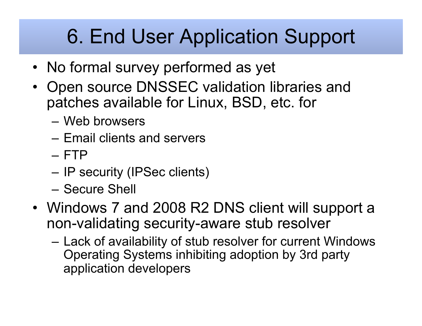# 6. End User Application Support

- No formal survey performed as yet
- Open source DNSSEC validation libraries and patches available for Linux, BSD, etc. for
	- Web browsers
	- Email clients and servers
	- FTP
	- IP security (IPSec clients)
	- Secure Shell
- Windows 7 and 2008 R2 DNS client will support a non-validating security-aware stub resolver
	- Lack of availability of stub resolver for current Windows Operating Systems inhibiting adoption by 3rd party application developers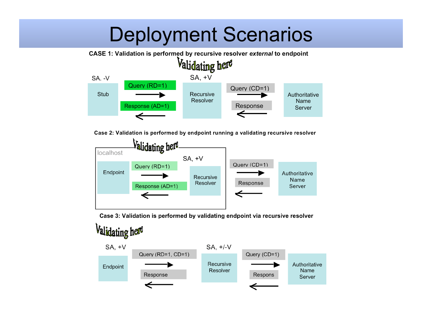## Deployment Scenarios



Case 2: Validation is performed by endpoint running a validating recursive resolver



Case 3: Validation is performed by validating endpoint via recursive resolver

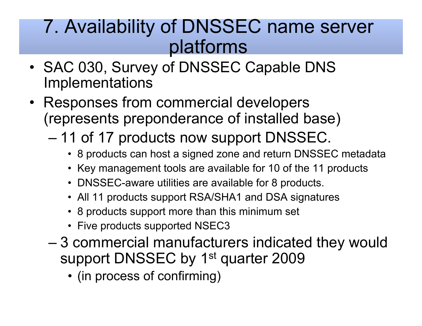#### 7. Availability of DNSSEC name server platforms

- SAC 030, Survey of DNSSEC Capable DNS Implementations
- Responses from commercial developers (represents preponderance of installed base)
	- 11 of 17 products now support DNSSEC.
		- 8 products can host a signed zone and return DNSSEC metadata
		- Key management tools are available for 10 of the 11 products
		- DNSSEC-aware utilities are available for 8 products.
		- All 11 products support RSA/SHA1 and DSA signatures
		- 8 products support more than this minimum set
		- Five products supported NSEC3
	- 3 commercial manufacturers indicated they would support DNSSEC by 1<sup>st</sup> quarter 2009
		- (in process of confirming)